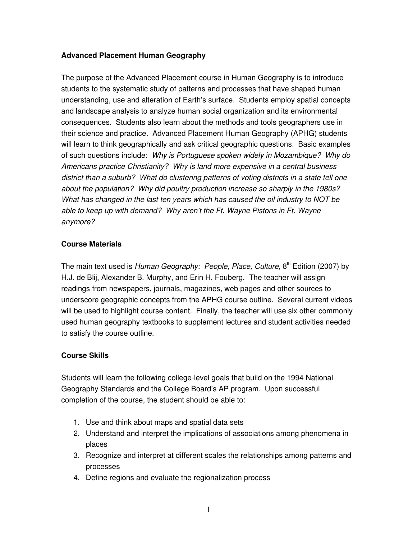# **Advanced Placement Human Geography**

The purpose of the Advanced Placement course in Human Geography is to introduce students to the systematic study of patterns and processes that have shaped human understanding, use and alteration of Earth's surface. Students employ spatial concepts and landscape analysis to analyze human social organization and its environmental consequences. Students also learn about the methods and tools geographers use in their science and practice. Advanced Placement Human Geography (APHG) students will learn to think geographically and ask critical geographic questions. Basic examples of such questions include: *Why is Portuguese spoken widely in Mozambique? Why do Americans practice Christianity? Why is land more expensive in a central business district than a suburb? What do clustering patterns of voting districts in a state tell one about the population? Why did poultry production increase so sharply in the 1980s? What has changed in the last ten years which has caused the oil industry to NOT be able to keep up with demand? Why aren't the Ft. Wayne Pistons in Ft. Wayne anymore?*

# **Course Materials**

The main text used is *Human Geography: People, Place, Culture*, 8th Edition (2007) by H.J. de Blij, Alexander B. Murphy, and Erin H. Fouberg. The teacher will assign readings from newspapers, journals, magazines, web pages and other sources to underscore geographic concepts from the APHG course outline. Several current videos will be used to highlight course content. Finally, the teacher will use six other commonly used human geography textbooks to supplement lectures and student activities needed to satisfy the course outline.

# **Course Skills**

Students will learn the following college-level goals that build on the 1994 National Geography Standards and the College Board's AP program. Upon successful completion of the course, the student should be able to:

- 1. Use and think about maps and spatial data sets
- 2. Understand and interpret the implications of associations among phenomena in places
- 3. Recognize and interpret at different scales the relationships among patterns and processes
- 4. Define regions and evaluate the regionalization process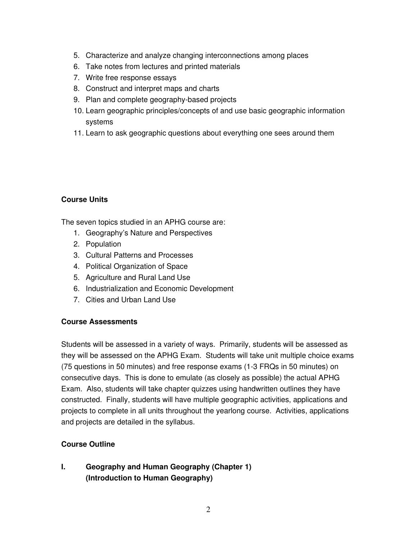- 5. Characterize and analyze changing interconnections among places
- 6. Take notes from lectures and printed materials
- 7. Write free response essays
- 8. Construct and interpret maps and charts
- 9. Plan and complete geography-based projects
- 10. Learn geographic principles/concepts of and use basic geographic information systems
- 11. Learn to ask geographic questions about everything one sees around them

# **Course Units**

The seven topics studied in an APHG course are:

- 1. Geography's Nature and Perspectives
- 2. Population
- 3. Cultural Patterns and Processes
- 4. Political Organization of Space
- 5. Agriculture and Rural Land Use
- 6. Industrialization and Economic Development
- 7. Cities and Urban Land Use

# **Course Assessments**

Students will be assessed in a variety of ways. Primarily, students will be assessed as they will be assessed on the APHG Exam. Students will take unit multiple choice exams (75 questions in 50 minutes) and free response exams (1-3 FRQs in 50 minutes) on consecutive days. This is done to emulate (as closely as possible) the actual APHG Exam. Also, students will take chapter quizzes using handwritten outlines they have constructed. Finally, students will have multiple geographic activities, applications and projects to complete in all units throughout the yearlong course. Activities, applications and projects are detailed in the syllabus.

# **Course Outline**

# **I. Geography and Human Geography (Chapter 1) (Introduction to Human Geography)**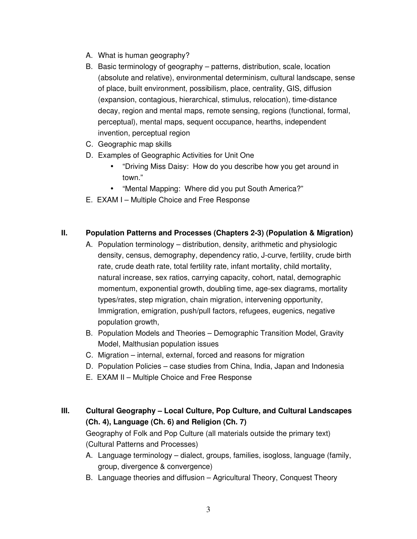- A. What is human geography?
- B. Basic terminology of geography patterns, distribution, scale, location (absolute and relative), environmental determinism, cultural landscape, sense of place, built environment, possibilism, place, centrality, GIS, diffusion (expansion, contagious, hierarchical, stimulus, relocation), time-distance decay, region and mental maps, remote sensing, regions (functional, formal, perceptual), mental maps, sequent occupance, hearths, independent invention, perceptual region
- C. Geographic map skills
- D. Examples of Geographic Activities for Unit One
	- "Driving Miss Daisy: How do you describe how you get around in town."
	- "Mental Mapping: Where did you put South America?"
- E. EXAM I Multiple Choice and Free Response

# **II. Population Patterns and Processes (Chapters 2-3) (Population & Migration)**

- A. Population terminology distribution, density, arithmetic and physiologic density, census, demography, dependency ratio, J-curve, fertility, crude birth rate, crude death rate, total fertility rate, infant mortality, child mortality, natural increase, sex ratios, carrying capacity, cohort, natal, demographic momentum, exponential growth, doubling time, age-sex diagrams, mortality types/rates, step migration, chain migration, intervening opportunity, Immigration, emigration, push/pull factors, refugees, eugenics, negative population growth,
- B. Population Models and Theories Demographic Transition Model, Gravity Model, Malthusian population issues
- C. Migration internal, external, forced and reasons for migration
- D. Population Policies case studies from China, India, Japan and Indonesia
- E. EXAM II Multiple Choice and Free Response
- **III. Cultural Geography – Local Culture, Pop Culture, and Cultural Landscapes (Ch. 4), Language (Ch. 6) and Religion (Ch. 7)**

Geography of Folk and Pop Culture (all materials outside the primary text) (Cultural Patterns and Processes)

- A. Language terminology dialect, groups, families, isogloss, language (family, group, divergence & convergence)
- B. Language theories and diffusion Agricultural Theory, Conquest Theory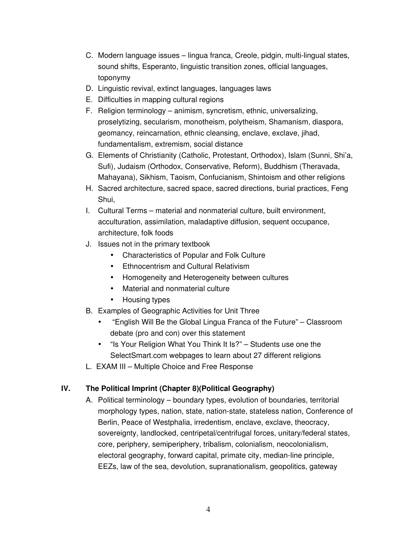- C. Modern language issues lingua franca, Creole, pidgin, multi-lingual states, sound shifts, Esperanto, linguistic transition zones, official languages, toponymy
- D. Linguistic revival, extinct languages, languages laws
- E. Difficulties in mapping cultural regions
- F. Religion terminology animism, syncretism, ethnic, universalizing, proselytizing, secularism, monotheism, polytheism, Shamanism, diaspora, geomancy, reincarnation, ethnic cleansing, enclave, exclave, jihad, fundamentalism, extremism, social distance
- G. Elements of Christianity (Catholic, Protestant, Orthodox), Islam (Sunni, Shi'a, Sufi), Judaism (Orthodox, Conservative, Reform), Buddhism (Theravada, Mahayana), Sikhism, Taoism, Confucianism, Shintoism and other religions
- H. Sacred architecture, sacred space, sacred directions, burial practices, Feng Shui,
- I. Cultural Terms material and nonmaterial culture, built environment, acculturation, assimilation, maladaptive diffusion, sequent occupance, architecture, folk foods
- J. Issues not in the primary textbook
	- Characteristics of Popular and Folk Culture
	- Ethnocentrism and Cultural Relativism
	- Homogeneity and Heterogeneity between cultures
	- Material and nonmaterial culture
	- Housing types
- B. Examples of Geographic Activities for Unit Three
	- "English Will Be the Global Lingua Franca of the Future" Classroom debate (pro and con) over this statement
	- "Is Your Religion What You Think It Is?" Students use one the SelectSmart.com webpages to learn about 27 different religions
- L. EXAM III Multiple Choice and Free Response

# **IV. The Political Imprint (Chapter 8)(Political Geography)**

A. Political terminology – boundary types, evolution of boundaries, territorial morphology types, nation, state, nation-state, stateless nation, Conference of Berlin, Peace of Westphalia, irredentism, enclave, exclave, theocracy, sovereignty, landlocked, centripetal/centrifugal forces, unitary/federal states, core, periphery, semiperiphery, tribalism, colonialism, neocolonialism, electoral geography, forward capital, primate city, median-line principle, EEZs, law of the sea, devolution, supranationalism, geopolitics, gateway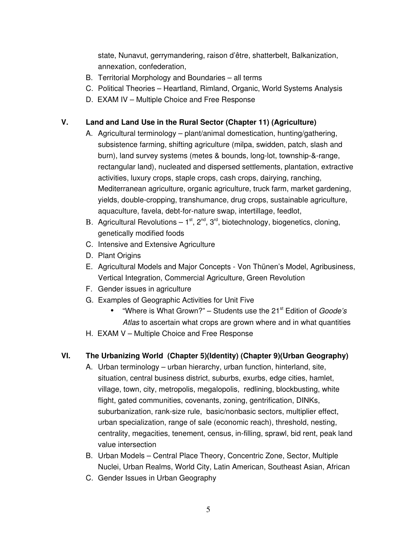state, Nunavut, gerrymandering, raison d'être, shatterbelt, Balkanization, annexation, confederation,

- B. Territorial Morphology and Boundaries all terms
- C. Political Theories Heartland, Rimland, Organic, World Systems Analysis
- D. EXAM IV Multiple Choice and Free Response

#### **V. Land and Land Use in the Rural Sector (Chapter 11) (Agriculture)**

- A. Agricultural terminology plant/animal domestication, hunting/gathering, subsistence farming, shifting agriculture (milpa, swidden, patch, slash and burn), land survey systems (metes & bounds, long-lot, township-&-range, rectangular land), nucleated and dispersed settlements, plantation, extractive activities, luxury crops, staple crops, cash crops, dairying, ranching, Mediterranean agriculture, organic agriculture, truck farm, market gardening, yields, double-cropping, transhumance, drug crops, sustainable agriculture, aquaculture, favela, debt-for-nature swap, intertillage, feedlot,
- B. Agricultural Revolutions  $-1^{st}$ ,  $2^{nd}$ ,  $3^{rd}$ , biotechnology, biogenetics, cloning, genetically modified foods
- C. Intensive and Extensive Agriculture
- D. Plant Origins
- E. Agricultural Models and Major Concepts Von Thünen's Model, Agribusiness, Vertical Integration, Commercial Agriculture, Green Revolution
- F. Gender issues in agriculture
- G. Examples of Geographic Activities for Unit Five
	- "Where is What Grown?" Students use the 21<sup>st</sup> Edition of *Goode's Atlas* to ascertain what crops are grown where and in what quantities
- H. EXAM V Multiple Choice and Free Response

# **VI. The Urbanizing World (Chapter 5)(Identity) (Chapter 9)(Urban Geography)**

- A. Urban terminology urban hierarchy, urban function, hinterland, site, situation, central business district, suburbs, exurbs, edge cities, hamlet, village, town, city, metropolis, megalopolis, redlining, blockbusting, white flight, gated communities, covenants, zoning, gentrification, DINKs, suburbanization, rank-size rule, basic/nonbasic sectors, multiplier effect, urban specialization, range of sale (economic reach), threshold, nesting, centrality, megacities, tenement, census, in-filling, sprawl, bid rent, peak land value intersection
- B. Urban Models Central Place Theory, Concentric Zone, Sector, Multiple Nuclei, Urban Realms, World City, Latin American, Southeast Asian, African
- C. Gender Issues in Urban Geography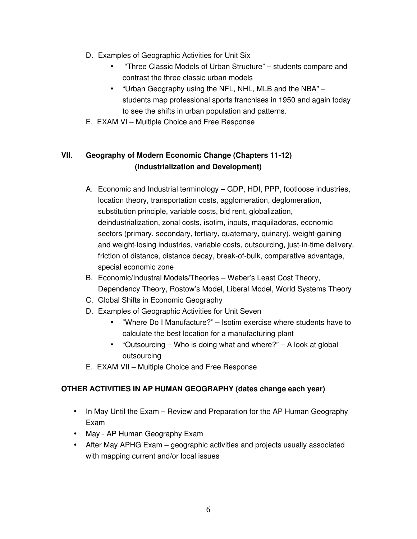- D. Examples of Geographic Activities for Unit Six
	- "Three Classic Models of Urban Structure" students compare and contrast the three classic urban models
	- "Urban Geography using the NFL, NHL, MLB and the NBA" students map professional sports franchises in 1950 and again today to see the shifts in urban population and patterns.
- E. EXAM VI Multiple Choice and Free Response

# **VII. Geography of Modern Economic Change (Chapters 11-12) (Industrialization and Development)**

- A. Economic and Industrial terminology GDP, HDI, PPP, footloose industries, location theory, transportation costs, agglomeration, deglomeration, substitution principle, variable costs, bid rent, globalization, deindustrialization, zonal costs, isotim, inputs, maquiladoras, economic sectors (primary, secondary, tertiary, quaternary, quinary), weight-gaining and weight-losing industries, variable costs, outsourcing, just-in-time delivery, friction of distance, distance decay, break-of-bulk, comparative advantage, special economic zone
- B. Economic/Industral Models/Theories Weber's Least Cost Theory, Dependency Theory, Rostow's Model, Liberal Model, World Systems Theory
- C. Global Shifts in Economic Geography
- D. Examples of Geographic Activities for Unit Seven
	- "Where Do I Manufacture?" Isotim exercise where students have to calculate the best location for a manufacturing plant
	- "Outsourcing Who is doing what and where?" A look at global outsourcing
- E. EXAM VII Multiple Choice and Free Response

# **OTHER ACTIVITIES IN AP HUMAN GEOGRAPHY (dates change each year)**

- In May Until the Exam Review and Preparation for the AP Human Geography Exam
- May AP Human Geography Exam
- After May APHG Exam geographic activities and projects usually associated with mapping current and/or local issues